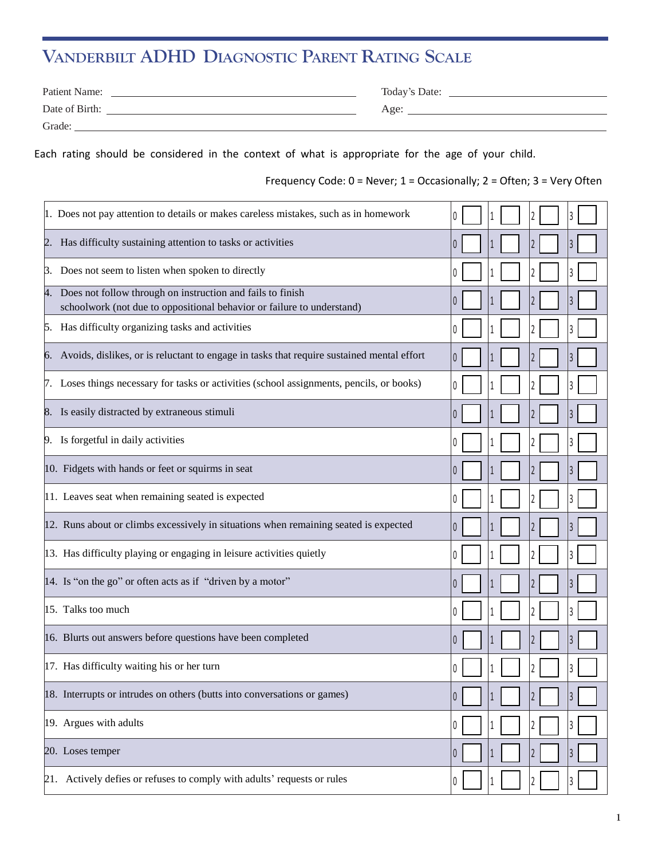## **VANDERBILT ADHD DIAGNOSTIC PARENT RATING SCALE**

| Patient Name:  | Today's Date: |
|----------------|---------------|
| Date of Birth: | Age:          |
| Grade:         |               |

Each rating should be considered in the context of what is appropriate for the age of your child.

Frequency Code: 0 = Never; 1 = Occasionally; 2 = Often; 3 = Very Often

| 1. Does not pay attention to details or makes careless mistakes, such as in homework                                                    |                       |
|-----------------------------------------------------------------------------------------------------------------------------------------|-----------------------|
| 2. Has difficulty sustaining attention to tasks or activities                                                                           |                       |
| 3. Does not seem to listen when spoken to directly                                                                                      |                       |
| 4. Does not follow through on instruction and fails to finish<br>schoolwork (not due to oppositional behavior or failure to understand) |                       |
| 5. Has difficulty organizing tasks and activities                                                                                       |                       |
| 6. Avoids, dislikes, or is reluctant to engage in tasks that require sustained mental effort                                            | $\theta$<br>3         |
| 7. Loses things necessary for tasks or activities (school assignments, pencils, or books)                                               |                       |
| 8. Is easily distracted by extraneous stimuli                                                                                           | $\left( \right)$      |
| 9. Is forgetful in daily activities                                                                                                     |                       |
| 10. Fidgets with hands or feet or squirms in seat                                                                                       |                       |
| 11. Leaves seat when remaining seated is expected                                                                                       | 3<br>$\Box$           |
| 12. Runs about or climbs excessively in situations when remaining seated is expected                                                    | 3<br>$\left( \right)$ |
| 13. Has difficulty playing or engaging in leisure activities quietly                                                                    | 0                     |
| 14. Is "on the go" or often acts as if "driven by a motor"                                                                              | 3                     |
| 15. Talks too much                                                                                                                      |                       |
| 16. Blurts out answers before questions have been completed                                                                             | 3                     |
| 17. Has difficulty waiting his or her turn                                                                                              |                       |
| 18. Interrupts or intrudes on others (butts into conversations or games)                                                                | 3<br>0<br>1           |
| 19. Argues with adults                                                                                                                  | 2<br>0<br>3           |
| 20. Loses temper                                                                                                                        | 2<br>3                |
| 21. Actively defies or refuses to comply with adults' requests or rules                                                                 | 3<br>0                |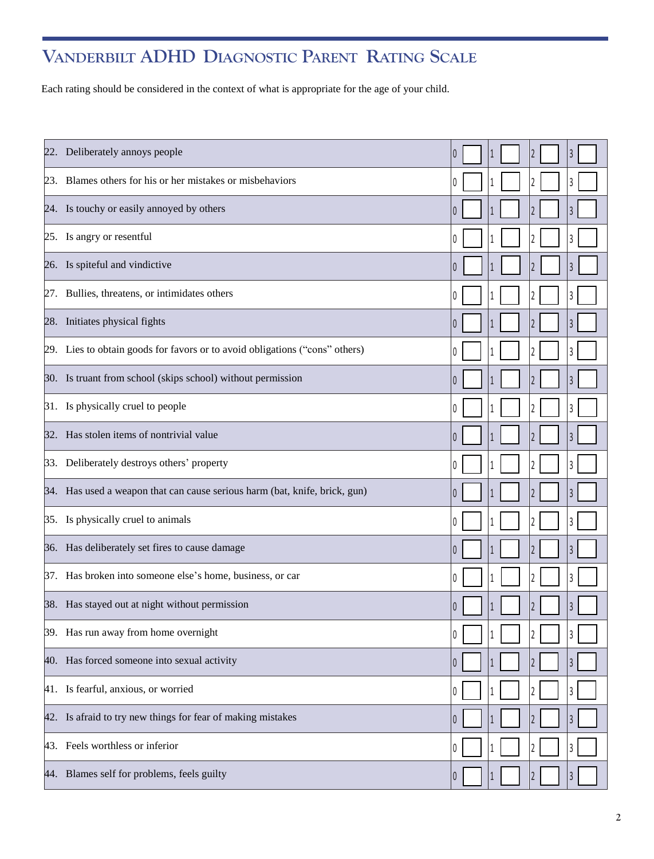## **VANDERBILT ADHD DIAGNOSTIC PARENT RATING SCALE**

Each rating should be considered in the context of what is appropriate for the age of your child.

| 22. Deliberately annoys people                                              |                  |  | 3 |
|-----------------------------------------------------------------------------|------------------|--|---|
| 23. Blames others for his or her mistakes or misbehaviors                   | $\theta$         |  |   |
| 24. Is touchy or easily annoyed by others                                   | $\theta$         |  |   |
| 25. Is angry or resentful                                                   |                  |  |   |
| 26. Is spiteful and vindictive                                              |                  |  | 3 |
| 27. Bullies, threatens, or intimidates others                               | 0                |  | 3 |
| 28. Initiates physical fights                                               | 0                |  |   |
| 29. Lies to obtain goods for favors or to avoid obligations ("cons" others) | $\left( \right)$ |  |   |
| 30. Is truant from school (skips school) without permission                 | $\left( \right)$ |  | 3 |
| 31. Is physically cruel to people                                           |                  |  | 3 |
| 32. Has stolen items of nontrivial value                                    | $\theta$         |  | 3 |
| 33. Deliberately destroys others' property                                  | 0                |  |   |
| 34. Has used a weapon that can cause serious harm (bat, knife, brick, gun)  | $\theta$         |  | 3 |
| 35. Is physically cruel to animals                                          | $\left( \right)$ |  |   |
| 36. Has deliberately set fires to cause damage                              | $\theta$         |  | 3 |
| 37. Has broken into someone else's home, business, or car                   | $\left( \right)$ |  |   |
| 38. Has stayed out at night without permission                              |                  |  | 3 |
| 39. Has run away from home overnight                                        |                  |  | 3 |
| 40. Has forced someone into sexual activity                                 | $\theta$         |  |   |
| 41. Is fearful, anxious, or worried                                         |                  |  |   |
| 42. Is afraid to try new things for fear of making mistakes                 |                  |  | 3 |
| 43. Feels worthless or inferior                                             |                  |  | 3 |
| 44. Blames self for problems, feels guilty                                  |                  |  | 3 |